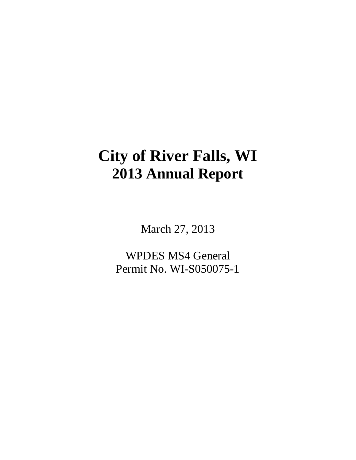# **City of River Falls, WI 2013 Annual Report**

March 27, 2013

WPDES MS4 General Permit No. WI-S050075-1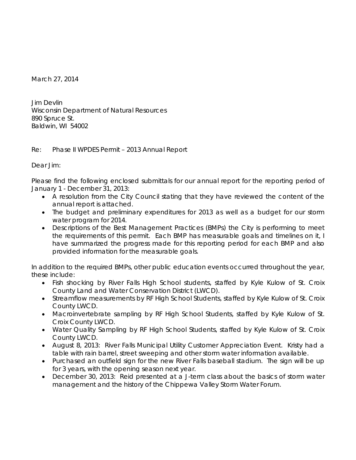March 27, 2014

Jim Devlin Wisconsin Department of Natural Resources 890 Spruce St. Baldwin, WI 54002

## Re: Phase II WPDES Permit – 2013 Annual Report

Dear Jim:

Please find the following enclosed submittals for our annual report for the reporting period of January 1 - December 31, 2013:

- A resolution from the City Council stating that they have reviewed the content of the annual report is attached.
- The budget and preliminary expenditures for 2013 as well as a budget for our storm water program for 2014.
- Descriptions of the Best Management Practices (BMPs) the City is performing to meet the requirements of this permit. Each BMP has measurable goals and timelines on it, I have summarized the progress made for this reporting period for each BMP and also provided information for the measurable goals.

In addition to the required BMPs, other public education events occurred throughout the year, these include:

- Fish shocking by River Falls High School students, staffed by Kyle Kulow of St. Croix County Land and Water Conservation District (LWCD).
- Streamflow measurements by RF High School Students, staffed by Kyle Kulow of St. Croix County LWCD.
- Macroinvertebrate sampling by RF High School Students, staffed by Kyle Kulow of St. Croix County LWCD.
- Water Quality Sampling by RF High School Students, staffed by Kyle Kulow of St. Croix County LWCD.
- August 8, 2013: River Falls Municipal Utility Customer Appreciation Event. Kristy had a table with rain barrel, street sweeping and other storm water information available.
- Purchased an outfield sign for the new River Falls baseball stadium. The sign will be up for 3 years, with the opening season next year.
- December 30, 2013: Reid presented at a J-term class about the basics of storm water management and the history of the Chippewa Valley Storm Water Forum.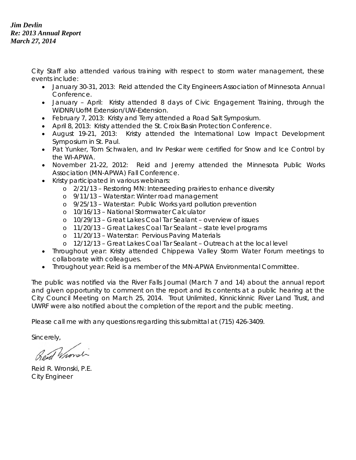## *Jim Devlin Re: 2013 Annual Report March 27, 2014*

City Staff also attended various training with respect to storm water management, these events include:

- January 30-31, 2013: Reid attended the City Engineers Association of Minnesota Annual Conference.
- January April: Kristy attended 8 days of Civic Engagement Training, through the WiDNR/UofM Extension/UW-Extension.
- February 7, 2013: Kristy and Terry attended a Road Salt Symposium.
- April 8, 2013: Kristy attended the St. Croix Basin Protection Conference.
- August 19-21, 2013: Kristy attended the International Low Impact Development Symposium in St. Paul.
- Pat Yunker, Tom Schwalen, and Irv Peskar were certified for Snow and Ice Control by the WI-APWA.
- November 21-22, 2012: Reid and Jeremy attended the Minnesota Public Works Association (MN-APWA) Fall Conference.
- Kristy participated in various webinars:
	- o 2/21/13 Restoring MN: Interseeding prairies to enhance diversity
	- o 9/11/13 Waterstar: Winter road management
	- o 9/25/13 Waterstar: Public Works yard pollution prevention
	- o 10/16/13 National Stormwater Calculator
	- o 10/29/13 Great Lakes Coal Tar Sealant overview of issues
	- o 11/20/13 Great Lakes Coal Tar Sealant state level programs
	- o 11/20/13 Waterstar: Pervious Paving Materials
	- o 12/12/13 Great Lakes Coal Tar Sealant Outreach at the local level
- Throughout year: Kristy attended Chippewa Valley Storm Water Forum meetings to collaborate with colleagues.
- Throughout year: Reid is a member of the MN-APWA Environmental Committee.

The public was notified via the River Falls Journal (March 7 and 14) about the annual report and given opportunity to comment on the report and its contents at a public hearing at the City Council Meeting on March 25, 2014. Trout Unlimited, Kinnickinnic River Land Trust, and UWRF were also notified about the completion of the report and the public meeting.

Please call me with any questions regarding this submittal at (715) 426-3409.

Sincerely,

Rend Whorst

Reid R. Wronski, P.E. City Engineer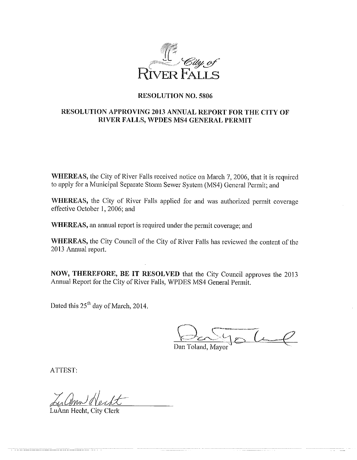

## **RESOLUTION NO. 5806**

## RESOLUTION APPROVING 2013 ANNUAL REPORT FOR THE CITY OF RIVER FALLS, WPDES MS4 GENERAL PERMIT

WHEREAS, the City of River Falls received notice on March 7, 2006, that it is required to apply for a Municipal Separate Storm Sewer System (MS4) General Permit; and

WHEREAS, the City of River Falls applied for and was authorized permit coverage effective October 1, 2006; and

WHEREAS, an annual report is required under the permit coverage; and

WHEREAS, the City Council of the City of River Falls has reviewed the content of the 2013 Annual report.

NOW, THEREFORE, BE IT RESOLVED that the City Council approves the 2013 Annual Report for the City of River Falls, WPDES MS4 General Permit.

Dated this 25<sup>th</sup> day of March, 2014.

Dan Toland, Mayor

ATTEST:

LuAnn Hecht, City Clerk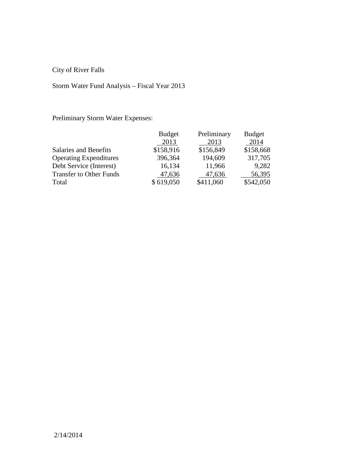City of River Falls

# Storm Water Fund Analysis – Fiscal Year 2013

Preliminary Storm Water Expenses:

|                                | <b>Budget</b> | Preliminary | <b>Budget</b> |
|--------------------------------|---------------|-------------|---------------|
|                                | 2013          | 2013        | 2014          |
| Salaries and Benefits          | \$158,916     | \$156,849   | \$158,668     |
| <b>Operating Expenditures</b>  | 396,364       | 194,609     | 317,705       |
| Debt Service (Interest)        | 16,134        | 11,966      | 9,282         |
| <b>Transfer to Other Funds</b> | 47,636        | 47,636      | 56,395        |
| Total                          | \$619,050     | \$411,060   | \$542,050     |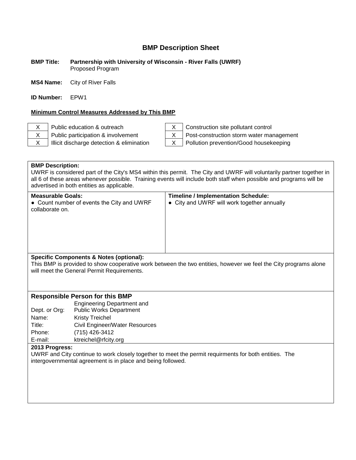#### **BMP Title: Partnership with University of Wisconsin - River Falls (UWRF)** Proposed Program

**MS4 Name:** City of River Falls

**ID Number:** EPW1

#### **Minimum Control Measures Addressed by This BMP**

X Public education & outreach  $X \mid$  Construction site pollutant control

X Public participation & involvement X | Post-construction storm water management

 $X$  | Illicit discharge detection & elimination  $X$  | Pollution prevention/Good housekeeping

**BMP Description:** UWRF is considered part of the City's MS4 within this permit. The City and UWRF will voluntarily partner together in all 6 of these areas whenever possible. Training events will include both staff when possible and programs will be advertised in both entities as applicable.

| <b>Measurable Goals:</b><br>• Count number of events the City and UWRF<br>collaborate on. | <b>Timeline / Implementation Schedule:</b><br>• City and UWRF will work together annually |
|-------------------------------------------------------------------------------------------|-------------------------------------------------------------------------------------------|
| Specific Components & Notes (optional).                                                   |                                                                                           |

#### **Specific Components & Notes (optional):**

This BMP is provided to show cooperative work between the two entities, however we feel the City programs alone will meet the General Permit Requirements.

#### **Responsible Person for this BMP**

|               | <b>Engineering Department and</b> |
|---------------|-----------------------------------|
| Dept. or Org: | <b>Public Works Department</b>    |
| Name:         | <b>Kristy Treichel</b>            |
| Title:        | Civil Engineer/Water Resources    |
| Phone:        | (715) 426-3412                    |
| E-mail:       | ktreichel@rfcity.org              |

#### **2013 Progress:**

UWRF and City continue to work closely together to meet the permit requirments for both entities. The intergovernmental agreement is in place and being followed.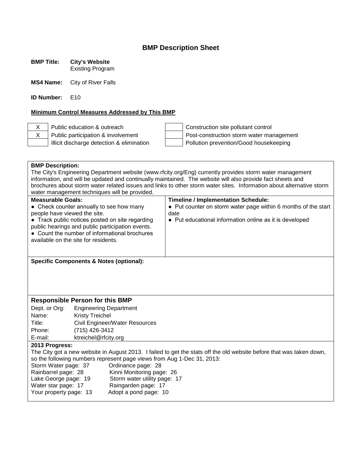**BMP Title: City's Website**

Existing Program

**MS4 Name:** City of River Falls

**ID Number:** E10

## **Minimum Control Measures Addressed by This BMP**

X Public education & outreach  $\vert$  | Construction site pollutant control  $\overline{X}$  Public participation & involvement<br>Illicit discharge detection & elimination<br>Pollution prevention/Good housekeeping Pollution prevention/Good housekeeping

|                                                                                                                      | <b>BMP Description:</b>                            |                                                                                                                      |  |
|----------------------------------------------------------------------------------------------------------------------|----------------------------------------------------|----------------------------------------------------------------------------------------------------------------------|--|
|                                                                                                                      |                                                    | The City's Engineering Department website (www.rfcity.org/Eng) currently provides storm water management             |  |
|                                                                                                                      |                                                    | information, and will be updated and continually maintained. The website will also provide fact sheets and           |  |
|                                                                                                                      |                                                    | brochures about storm water related issues and links to other storm water sites. Information about alternative storm |  |
|                                                                                                                      | water management techniques will be provided.      |                                                                                                                      |  |
| <b>Measurable Goals:</b>                                                                                             |                                                    | <b>Timeline / Implementation Schedule:</b>                                                                           |  |
|                                                                                                                      | • Check counter annually to see how many           | • Put counter on storm water page within 6 months of the start                                                       |  |
| people have viewed the site.                                                                                         |                                                    | date                                                                                                                 |  |
|                                                                                                                      | • Track public notices posted on site regarding    | • Put educational information online as it is developed                                                              |  |
|                                                                                                                      | public hearings and public participation events.   |                                                                                                                      |  |
|                                                                                                                      | • Count the number of informational brochures      |                                                                                                                      |  |
|                                                                                                                      | available on the site for residents.               |                                                                                                                      |  |
|                                                                                                                      |                                                    |                                                                                                                      |  |
|                                                                                                                      |                                                    |                                                                                                                      |  |
|                                                                                                                      | <b>Specific Components &amp; Notes (optional):</b> |                                                                                                                      |  |
|                                                                                                                      |                                                    |                                                                                                                      |  |
|                                                                                                                      |                                                    |                                                                                                                      |  |
|                                                                                                                      |                                                    |                                                                                                                      |  |
|                                                                                                                      |                                                    |                                                                                                                      |  |
| <b>Responsible Person for this BMP</b>                                                                               |                                                    |                                                                                                                      |  |
| Dept. or Org:<br><b>Engineering Department</b>                                                                       |                                                    |                                                                                                                      |  |
| Name:                                                                                                                | <b>Kristy Treichel</b>                             |                                                                                                                      |  |
| Title:                                                                                                               | Civil Engineer/Water Resources                     |                                                                                                                      |  |
| Phone:                                                                                                               | (715) 426-3412                                     |                                                                                                                      |  |
| E-mail:<br>ktreichel@rfcity.org                                                                                      |                                                    |                                                                                                                      |  |
| 2013 Progress:                                                                                                       |                                                    |                                                                                                                      |  |
| The City got a new website in August 2013. I failed to get the stats off the old website before that was taken down, |                                                    |                                                                                                                      |  |
| so the following numbers represent page views from Aug 1-Dec 31, 2013:                                               |                                                    |                                                                                                                      |  |
| Storm Water page: 37<br>Ordinance page: 28                                                                           |                                                    |                                                                                                                      |  |
| Rainbarrel page: 28<br>Kinni Monitoring page: 26                                                                     |                                                    |                                                                                                                      |  |
| Lake George page: 19<br>Storm water utility page: 17                                                                 |                                                    |                                                                                                                      |  |
|                                                                                                                      |                                                    |                                                                                                                      |  |
| Water star page: 17                                                                                                  | Raingarden page: 17                                |                                                                                                                      |  |
| Your property page: 13                                                                                               | Adopt a pond page: 10                              |                                                                                                                      |  |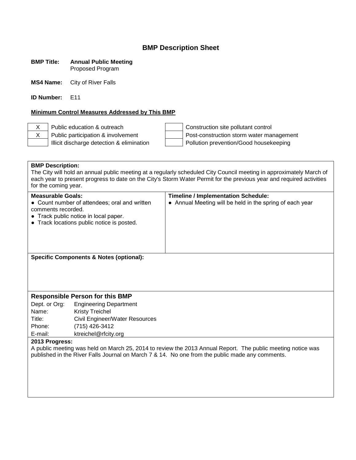#### **BMP Title: Annual Public Meeting** Proposed Program

**MS4 Name:** City of River Falls

**ID Number:** E11

#### **Minimum Control Measures Addressed by This BMP**

X Public education & outreach Construction site pollutant control X Public participation & involvement Post-construction storm water management Illicit discharge detection & elimination Pollution prevention/Good housekeeping

**BMP Description:** The City will hold an annual public meeting at a regularly scheduled City Council meeting in approximately March of each year to present progress to date on the City's Storm Water Permit for the previous year and required activities for the coming year. **Measurable Goals: Timeline / Implementation Schedule:** • Count number of attendees; oral and written comments recorded. ● Track public notice in local paper. ● Track locations public notice is posted. • Annual Meeting will be held in the spring of each year **Specific Components & Notes (optional): Responsible Person for this BMP** Dept. or Org: Engineering Department Name: Kristy Treichel Title: Civil Engineer/Water Resources Phone: (715) 426-3412 E-mail: ktreichel@rfcity.org **2013 Progress:** A public meeting was held on March 25, 2014 to review the 2013 Annual Report. The public meeting notice was published in the River Falls Journal on March 7 & 14. No one from the public made any comments.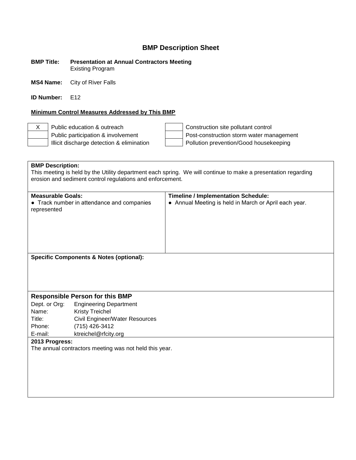**BMP Title: Presentation at Annual Contractors Meeting** Existing Program

**MS4 Name:** City of River Falls

**ID Number:** F12

#### **Minimum Control Measures Addressed by This BMP**

X Public education & outreach  $\vert$  | Construction site pollutant control Public participation & involvement  $\vert$  Post-construction storm water management Illicit discharge detection & elimination  $\vert$  | Pollution prevention/Good housekeeping

**BMP Description:** This meeting is held by the Utility department each spring. We will continue to make a presentation regarding erosion and sediment control regulations and enforcement. **Measurable Goals: Timeline / Implementation Schedule:** • Track number in attendance and companies represented ● Annual Meeting is held in March or April each year. **Specific Components & Notes (optional): Responsible Person for this BMP** Dept. or Org: Engineering Department Name: Kristy Treichel Title: Civil Engineer/Water Resources Phone: (715) 426-3412 E-mail: ktreichel@rfcity.org **2013 Progress:** The annual contractors meeting was not held this year.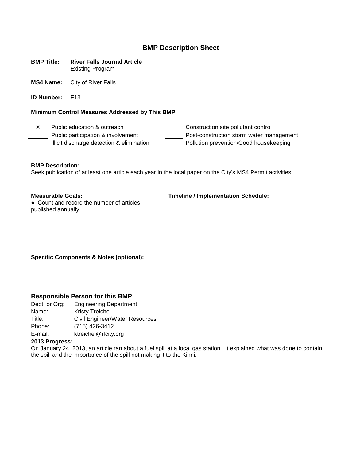| <b>BMP Title:</b> | <b>River Falls Journal Article</b> |
|-------------------|------------------------------------|
|                   | <b>Existing Program</b>            |

**MS4 Name:** City of River Falls

**ID Number:** E13

## **Minimum Control Measures Addressed by This BMP**

X Public education & outreach Construction site pollutant control<br>Public participation & involvement Post-construction storm water mail Public participation & involvement<br>
Illicit discharge detection & elimination<br>
Post-construction storm water management<br>
Pollution prevention/Good housekeeping Pollution prevention/Good housekeeping

| <b>BMP Description:</b>                                                                                              |                                                         |                                                                                                            |  |
|----------------------------------------------------------------------------------------------------------------------|---------------------------------------------------------|------------------------------------------------------------------------------------------------------------|--|
|                                                                                                                      |                                                         | Seek publication of at least one article each year in the local paper on the City's MS4 Permit activities. |  |
|                                                                                                                      |                                                         |                                                                                                            |  |
| <b>Measurable Goals:</b><br>published annually.                                                                      | • Count and record the number of articles               | <b>Timeline / Implementation Schedule:</b>                                                                 |  |
| <b>Specific Components &amp; Notes (optional):</b>                                                                   |                                                         |                                                                                                            |  |
|                                                                                                                      |                                                         |                                                                                                            |  |
|                                                                                                                      |                                                         |                                                                                                            |  |
|                                                                                                                      |                                                         |                                                                                                            |  |
|                                                                                                                      |                                                         |                                                                                                            |  |
|                                                                                                                      | <b>Responsible Person for this BMP</b>                  |                                                                                                            |  |
| Dept. or Org:<br>Name:                                                                                               | <b>Engineering Department</b><br><b>Kristy Treichel</b> |                                                                                                            |  |
| Title:                                                                                                               | Civil Engineer/Water Resources                          |                                                                                                            |  |
| Phone:                                                                                                               | (715) 426-3412                                          |                                                                                                            |  |
| E-mail:                                                                                                              | ktreichel@rfcity.org                                    |                                                                                                            |  |
| 2013 Progress:                                                                                                       |                                                         |                                                                                                            |  |
| On January 24, 2013, an article ran about a fuel spill at a local gas station. It explained what was done to contain |                                                         |                                                                                                            |  |
| the spill and the importance of the spill not making it to the Kinni.                                                |                                                         |                                                                                                            |  |
|                                                                                                                      |                                                         |                                                                                                            |  |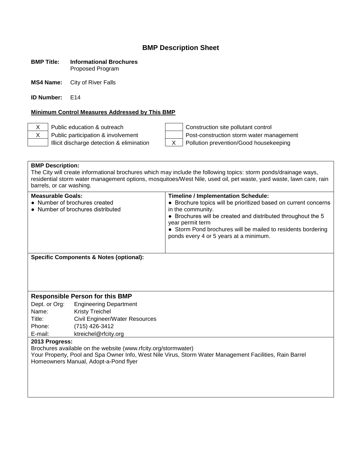#### **BMP Title: Informational Brochures** Proposed Program

**MS4 Name:** City of River Falls

**ID Number:** F14

#### **Minimum Control Measures Addressed by This BMP**

X Public education & outreach Construction site pollutant control X Public participation & involvement Post-construction storm water management Illicit discharge detection & elimination  $\begin{vmatrix} X & \end{vmatrix}$  Pollution prevention/Good housekeeping

#### **BMP Description:**

The City will create informational brochures which may include the following topics: storm ponds/drainage ways, residential storm water management options, mosquitoes/West Nile, used oil, pet waste, yard waste, lawn care, rain barrels, or car washing.

| <b>Measurable Goals:</b>                                           | <b>Timeline / Implementation Schedule:</b>                                                                                                                                                                                                                                         |
|--------------------------------------------------------------------|------------------------------------------------------------------------------------------------------------------------------------------------------------------------------------------------------------------------------------------------------------------------------------|
| • Number of brochures created<br>• Number of brochures distributed | • Brochure topics will be prioritized based on current concerns<br>in the community.<br>• Brochures will be created and distributed throughout the 5<br>year permit term<br>• Storm Pond brochures will be mailed to residents bordering<br>ponds every 4 or 5 years at a minimum. |

**Specific Components & Notes (optional):**

#### **Responsible Person for this BMP**

Dept. or Org: Engineering Department Name: Kristy Treichel Title: Civil Engineer/Water Resources Phone: (715) 426-3412 E-mail: ktreichel@rfcity.org

#### **2013 Progress:**

Brochures available on the website (www.rfcity.org/stormwater)

Your Property, Pool and Spa Owner Info, West Nile Virus, Storm Water Management Facilities, Rain Barrel Homeowners Manual, Adopt-a-Pond flyer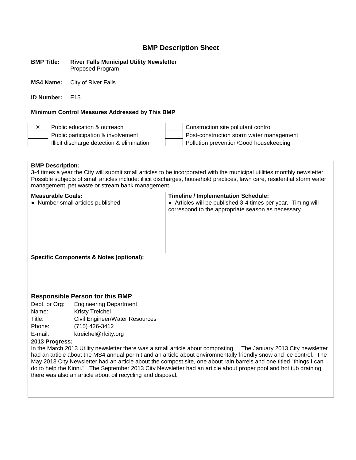#### **BMP Title: River Falls Municipal Utility Newsletter** Proposed Program

**MS4 Name:** City of River Falls

**ID Number:** E15

#### **Minimum Control Measures Addressed by This BMP**

X Public education & outreach Construction site pollutant control Public participation & involvement  $\vert$  Post-construction storm water management Illicit discharge detection & elimination  $\vert$  | Pollution prevention/Good housekeeping

#### **BMP Description:**

3-4 times a year the City will submit small articles to be incorporated with the municipal utilities monthly newsletter. Possible subjects of small articles include: illicit discharges, household practices, lawn care, residential storm water management, pet waste or stream bank management.

| correspond to the appropriate season as necessary.                                           |  |
|----------------------------------------------------------------------------------------------|--|
| <b>Specific Components &amp; Notes (optional):</b><br><b>Responsible Person for this BMP</b> |  |

## Dept. or Org: Engineering Department Name: Kristy Treichel Title: Civil Engineer/Water Resources Phone: (715) 426-3412 E-mail: ktreichel@rfcity.org

#### **2013 Progress:**

In the March 2013 Utility newsletter there was a small article about composting. The January 2013 City newsletter had an article about the MS4 annual permit and an article about enviromnentally friendly snow and ice control. The May 2013 City Newsletter had an article about the compost site, one about rain barrels and one titled "things I can do to help the Kinni." The September 2013 City Newsletter had an article about proper pool and hot tub draining, there was also an article about oil recycling and disposal.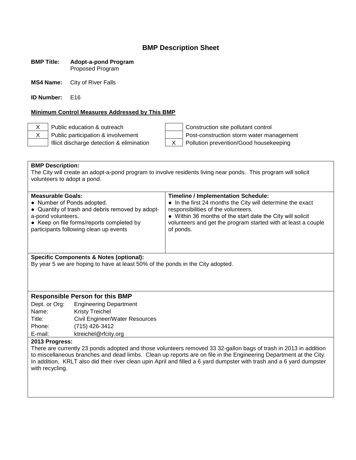#### **BMP Title: Adopt-a-pond Program** Proposed Program

**MS4 Name:** City of River Falls

**ID Number:** E16

#### **Minimum Control Measures Addressed by This BMP**

X Public education & outreach Construction site pollutant control X Public participation & involvement Post-construction storm water management Illicit discharge detection & elimination X Pollution prevention/Good housekeeping

**BMP Description:** The City will create an adopt-a-pond program to involve residents living near ponds. This program will solicit volunteers to adopt a pond.

| <b>Measurable Goals:</b>                         | <b>Timeline / Implementation Schedule:</b>                    |
|--------------------------------------------------|---------------------------------------------------------------|
| • Number of Ponds adopted.                       | • In the first 24 months the City will determine the exact    |
| • Quantity of trash and debris removed by adopt- | responsibilities of the volunteers.                           |
| a-pond volunteers.                               | • Within 36 months of the start date the City will solicit    |
| • Keep on file forms/reports completed by        | volunteers and get the program started with at least a couple |
| participants following clean up events           | of ponds.                                                     |

#### **Specific Components & Notes (optional):**

By year 5 we are hoping to have at least 50% of the ponds in the City adopted.

#### **Responsible Person for this BMP**

Dept. or Org: Engineering Department Name: Kristy Treichel Title: Civil Engineer/Water Resources Phone: (715) 426-3412 E-mail: ktreichel@rfcity.org

#### **2013 Progress:**

There are currently 23 ponds adopted and those volunteers removed 33 32-gallon bags of trash in 2013 in addition to miscellaneous branches and dead limbs. Clean up reports are on file in the Engineering Department at the City. In addition, KRLT also did their river clean upin April and filled a 6 yard dumpster with trash and a 6 yard dumpster with recycling.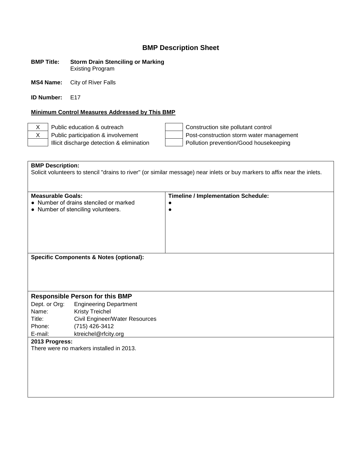#### **BMP Title: Storm Drain Stenciling or Marking** Existing Program

**MS4 Name:** City of River Falls

**ID Number:** F17

#### **Minimum Control Measures Addressed by This BMP**

X Public education & outreach  $\vert$  | Construction site pollutant control X Public participation & involvement Post-construction storm water management Illicit discharge detection & elimination Pollution prevention/Good housekeeping

**BMP Description:** Solicit volunteers to stencil "drains to river" (or similar message) near inlets or buy markers to affix near the inlets. **Measurable Goals: Timeline / Implementation Schedule:** ● Number of drains stenciled or marked ● Number of stenciling volunteers. ●  $\bullet$ **Specific Components & Notes (optional): Responsible Person for this BMP** Dept. or Org: Engineering Department Name: Kristy Treichel Title: Civil Engineer/Water Resources Phone: (715) 426-3412 E-mail: ktreichel@rfcity.org **2013 Progress:** There were no markers installed in 2013.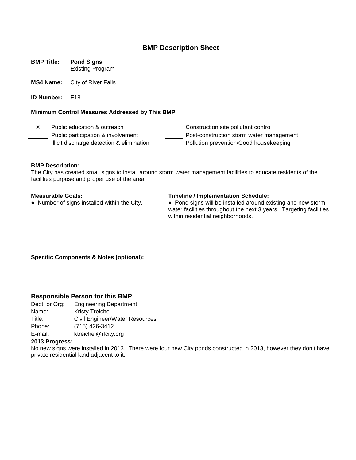**BMP Title: Pond Signs** Existing Program

**MS4 Name:** City of River Falls

**ID Number:** F18

#### **Minimum Control Measures Addressed by This BMP**

X Public education & outreach Construction site pollutant control Public participation & involvement  $\vert$  Post-construction storm water management Illicit discharge detection & elimination  $\vert$  | Pollution prevention/Good housekeeping

**BMP Description:** The City has created small signs to install around storm water management facilities to educate residents of the facilities purpose and proper use of the area. **Measurable Goals:**<br>
• Number of signs installed within the City.<br>
• Pond signs will be installed around exercise • Pond signs will be installed around existing and new storm water facilities throughout the next 3 years. Targeting facilities within residential neighborhoods. **Specific Components & Notes (optional): Responsible Person for this BMP** Dept. or Org: Engineering Department Name: Kristy Treichel Title: Civil Engineer/Water Resources Phone: (715) 426-3412 E-mail: ktreichel@rfcity.org **2013 Progress:** No new signs were installed in 2013. There were four new City ponds constructed in 2013, however they don't have private residential land adjacent to it.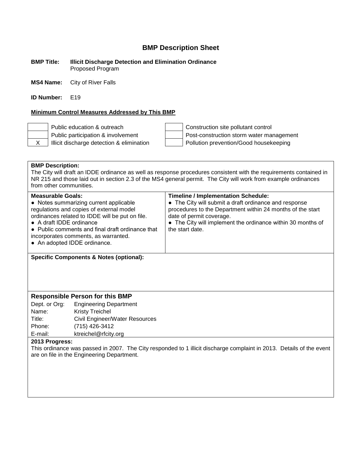**BMP Title: Illicit Discharge Detection and Elimination Ordinance** Proposed Program

**MS4 Name:** City of River Falls

**ID Number:** F19

#### **Minimum Control Measures Addressed by This BMP**

Public education & outreach Construction site pollutant control Public participation & involvement  $\vert$  Post-construction storm water management X | Illicit discharge detection & elimination | Pollution prevention/Good housekeeping

#### **BMP Description:**

The City will draft an IDDE ordinance as well as response procedures consistent with the requirements contained in NR 215 and those laid out in section 2.3 of the MS4 general permit. The City will work from example ordinances from other communities.

| <b>Measurable Goals:</b><br>• Notes summarizing current applicable<br>regulations and copies of external model<br>ordinances related to IDDE will be put on file.<br>• A draft IDDE ordinance<br>• Public comments and final draft ordinance that<br>incorporates comments, as warranted.<br>• An adopted IDDE ordinance. | <b>Timeline / Implementation Schedule:</b><br>• The City will submit a draft ordinance and response<br>procedures to the Department within 24 months of the start<br>date of permit coverage.<br>• The City will implement the ordinance within 30 months of<br>the start date. |
|---------------------------------------------------------------------------------------------------------------------------------------------------------------------------------------------------------------------------------------------------------------------------------------------------------------------------|---------------------------------------------------------------------------------------------------------------------------------------------------------------------------------------------------------------------------------------------------------------------------------|
|                                                                                                                                                                                                                                                                                                                           |                                                                                                                                                                                                                                                                                 |

**Specific Components & Notes (optional):**

#### **Responsible Person for this BMP**

Dept. or Org: Engineering Department Name: Kristy Treichel Title: Civil Engineer/Water Resources Phone: (715) 426-3412 E-mail: ktreichel@rfcity.org

#### **2013 Progress:**

This ordinance was passed in 2007. The City responded to 1 illicit discharge complaint in 2013. Details of the event are on file in the Engineering Department.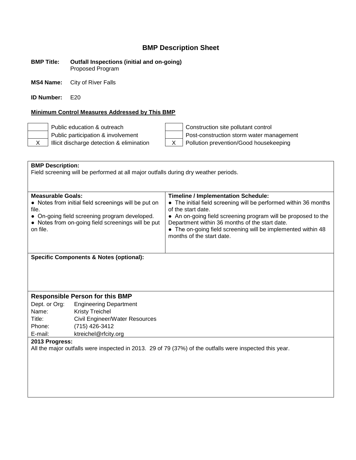#### **BMP Title: Outfall Inspections (initial and on-going)** Proposed Program

**MS4 Name:** City of River Falls

**ID Number:** E20

## **Minimum Control Measures Addressed by This BMP**

Public education & outreach Construction site pollutant control Public participation & involvement<br>
Illicit discharge detection & elimination<br>
X<br>
Pollution prevention/Good housekeeping  $X$  | Illicit discharge detection & elimination  $X$  | Pollution prevention/Good housekeeping

| <b>BMP Description:</b><br>Field screening will be performed at all major outfalls during dry weather periods. |                                                      |                                                                                        |
|----------------------------------------------------------------------------------------------------------------|------------------------------------------------------|----------------------------------------------------------------------------------------|
|                                                                                                                |                                                      |                                                                                        |
|                                                                                                                |                                                      |                                                                                        |
|                                                                                                                |                                                      |                                                                                        |
| <b>Measurable Goals:</b>                                                                                       |                                                      | <b>Timeline / Implementation Schedule:</b>                                             |
| file.                                                                                                          | • Notes from initial field screenings will be put on | • The initial field screening will be performed within 36 months<br>of the start date. |
|                                                                                                                | • On-going field screening program developed.        | • An on-going field screening program will be proposed to the                          |
|                                                                                                                | • Notes from on-going field screenings will be put   | Department within 36 months of the start date.                                         |
| on file.                                                                                                       |                                                      | • The on-going field screening will be implemented within 48                           |
|                                                                                                                |                                                      | months of the start date.                                                              |
|                                                                                                                |                                                      |                                                                                        |
|                                                                                                                |                                                      |                                                                                        |
| <b>Specific Components &amp; Notes (optional):</b>                                                             |                                                      |                                                                                        |
|                                                                                                                |                                                      |                                                                                        |
|                                                                                                                |                                                      |                                                                                        |
|                                                                                                                |                                                      |                                                                                        |
|                                                                                                                |                                                      |                                                                                        |
| <b>Responsible Person for this BMP</b>                                                                         |                                                      |                                                                                        |
| Dept. or Org:                                                                                                  | <b>Engineering Department</b>                        |                                                                                        |
| Name:                                                                                                          | <b>Kristy Treichel</b>                               |                                                                                        |
| Title:                                                                                                         | Civil Engineer/Water Resources                       |                                                                                        |
| Phone:                                                                                                         | (715) 426-3412                                       |                                                                                        |
| E-mail:                                                                                                        | ktreichel@rfcity.org                                 |                                                                                        |
| 2013 Progress:                                                                                                 |                                                      |                                                                                        |
| All the major outfalls were inspected in 2013. 29 of 79 (37%) of the outfalls were inspected this year.        |                                                      |                                                                                        |
|                                                                                                                |                                                      |                                                                                        |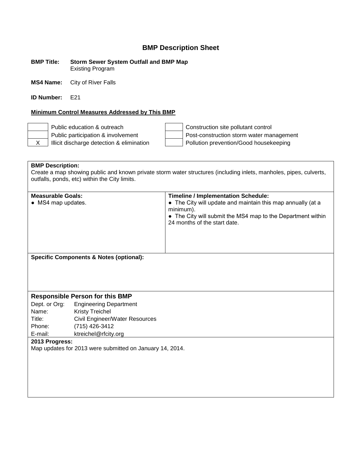**BMP Title: Storm Sewer System Outfall and BMP Map** Existing Program

**MS4 Name:** City of River Falls

**ID Number:** F<sub>21</sub>

#### **Minimum Control Measures Addressed by This BMP**

Public education & outreach Construction site pollutant control Public participation & involvement Post-construction storm water management X | Illicit discharge detection & elimination | Pollution prevention/Good housekeeping

**BMP Description:** Create a map showing public and known private storm water structures (including inlets, manholes, pipes, culverts, outfalls, ponds, etc) within the City limits.

| <b>Measurable Goals:</b><br>• MS4 map updates.     | <b>Timeline / Implementation Schedule:</b><br>• The City will update and maintain this map annually (at a<br>minimum).<br>• The City will submit the MS4 map to the Department within<br>24 months of the start date. |
|----------------------------------------------------|-----------------------------------------------------------------------------------------------------------------------------------------------------------------------------------------------------------------------|
| <b>Specific Components &amp; Notes (optional):</b> |                                                                                                                                                                                                                       |
|                                                    |                                                                                                                                                                                                                       |
|                                                    |                                                                                                                                                                                                                       |

#### **Responsible Person for this BMP**

Dept. or Org: Engineering Department Name: Kristy Treichel Title: Civil Engineer/Water Resources Phone: (715) 426-3412<br>
E-mail: ktreichel@rfcitv. ktreichel@rfcity.org

**2013 Progress:**

Map updates for 2013 were submitted on January 14, 2014.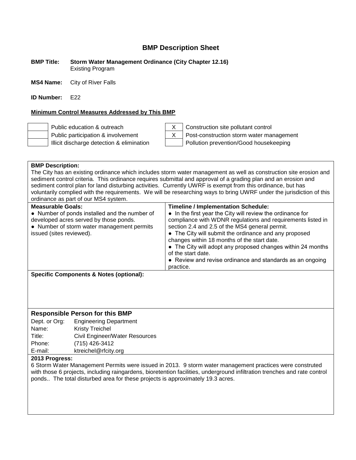**BMP Title: Storm Water Management Ordinance (City Chapter 12.16)** Existing Program

**MS4 Name:** City of River Falls

**ID Number:** F<sub>22</sub>

#### **Minimum Control Measures Addressed by This BMP**



Public education & outreach X Construction site pollutant control Public participation & involvement  $\begin{vmatrix} X \\ Y \end{vmatrix}$  Post-construction storm water management Illicit discharge detection & elimination Pollution prevention/Good housekeeping

| <b>BMP Description:</b><br>The City has an existing ordinance which includes storm water management as well as construction site erosion and<br>sediment control criteria. This ordinance requires submittal and approval of a grading plan and an erosion and<br>sediment control plan for land disturbing activities. Currently UWRF is exempt from this ordinance, but has<br>voluntarily complied with the requirements. We will be researching ways to bring UWRF under the jurisdiction of this<br>ordinance as part of our MS4 system. |                                                                                                                                                                                                                                                                                                                                                                                                                                                                                                  |  |
|-----------------------------------------------------------------------------------------------------------------------------------------------------------------------------------------------------------------------------------------------------------------------------------------------------------------------------------------------------------------------------------------------------------------------------------------------------------------------------------------------------------------------------------------------|--------------------------------------------------------------------------------------------------------------------------------------------------------------------------------------------------------------------------------------------------------------------------------------------------------------------------------------------------------------------------------------------------------------------------------------------------------------------------------------------------|--|
| <b>Measurable Goals:</b><br>• Number of ponds installed and the number of<br>developed acres served by those ponds.<br>• Number of storm water management permits<br>issued (sites reviewed).                                                                                                                                                                                                                                                                                                                                                 | <b>Timeline / Implementation Schedule:</b><br>• In the first year the City will review the ordinance for<br>compliance with WDNR regulations and requirements listed in<br>section 2.4 and 2.5 of the MS4 general permit.<br>• The City will submit the ordinance and any proposed<br>changes within 18 months of the start date.<br>• The City will adopt any proposed changes within 24 months<br>of the start date.<br>• Review and revise ordinance and standards as an ongoing<br>practice. |  |
| <b>Specific Components &amp; Notes (optional):</b>                                                                                                                                                                                                                                                                                                                                                                                                                                                                                            |                                                                                                                                                                                                                                                                                                                                                                                                                                                                                                  |  |

## **Responsible Person for this BMP**

| Dept. or Org: | <b>Engineering Department</b>  |
|---------------|--------------------------------|
| Name:         | <b>Kristy Treichel</b>         |
| Title:        | Civil Engineer/Water Resources |
| Phone:        | (715) 426-3412                 |
| E-mail:       | ktreichel@rfcity.org           |
|               |                                |

#### **2013 Progress:**

6 Storm Water Management Permits were issued in 2013. 9 storm water management practices were construted with those 6 projects, including raingardens, bioretention facilities, underground infiltration trenches and rate control ponds.. The total disturbed area for these projects is approximately 19.3 acres.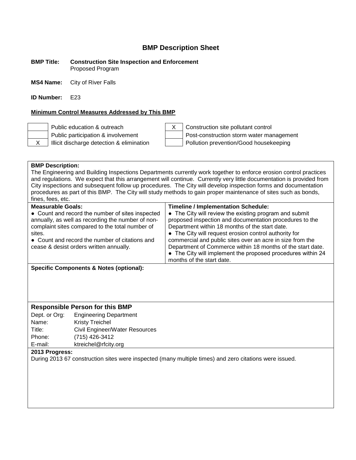#### **BMP Title: Construction Site Inspection and Enforcement** Proposed Program

**MS4 Name:** City of River Falls

**ID Number:** E23

#### **Minimum Control Measures Addressed by This BMP**





Public education & outreach X Construction site pollutant control Public participation & involvement  $\vert$  Post-construction storm water management X | Illicit discharge detection & elimination | Pollution prevention/Good housekeeping

#### **BMP Description:**

The Engineering and Building Inspections Departments currently work together to enforce erosion control practices and regulations. We expect that this arrangement will continue. Currently very little documentation is provided from City inspections and subsequent follow up procedures. The City will develop inspection forms and documentation procedures as part of this BMP. The City will study methods to gain proper maintenance of sites such as bonds, fines, fees, etc.

| <b>Measurable Goals:</b>                                                                                                                                                                                                                                        | <b>Timeline / Implementation Schedule:</b>                                                                                                                                                                                                                                                                                                              |
|-----------------------------------------------------------------------------------------------------------------------------------------------------------------------------------------------------------------------------------------------------------------|---------------------------------------------------------------------------------------------------------------------------------------------------------------------------------------------------------------------------------------------------------------------------------------------------------------------------------------------------------|
| • Count and record the number of sites inspected<br>annually, as well as recording the number of non-<br>complaint sites compared to the total number of<br>sites.<br>• Count and record the number of citations and<br>cease & desist orders written annually. | • The City will review the existing program and submit<br>proposed inspection and documentation procedures to the<br>Department within 18 months of the start date.<br>• The City will request erosion control authority for<br>commercial and public sites over an acre in size from the<br>Department of Commerce within 18 months of the start date. |
|                                                                                                                                                                                                                                                                 | • The City will implement the proposed procedures within 24<br>months of the start date.                                                                                                                                                                                                                                                                |
| Cussifie Componente <sup>0</sup> Notes (ontional),                                                                                                                                                                                                              |                                                                                                                                                                                                                                                                                                                                                         |

**Specific Components & Notes (optional):**

#### **Responsible Person for this BMP**

Dept. or Org: Engineering Department Name: Kristy Treichel Title: Civil Engineer/Water Resources Phone: (715) 426-3412 E-mail: ktreichel@rfcity.org

#### **2013 Progress:**

During 2013 67 construction sites were inspected (many multiple times) and zero citations were issued.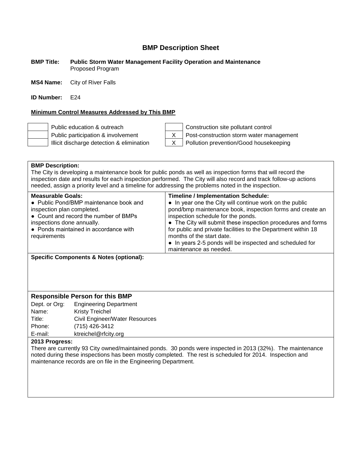#### **BMP Title: Public Storm Water Management Facility Operation and Maintenance** Proposed Program

**MS4 Name:** City of River Falls

**ID Number:** E24

#### **Minimum Control Measures Addressed by This BMP**



Public education & outreach Construction site pollutant control Public participation & involvement  $\begin{vmatrix} X \\ Y \end{vmatrix}$  Post-construction storm water management Illicit discharge detection & elimination  $\begin{vmatrix} X & \end{vmatrix}$  Pollution prevention/Good housekeeping

#### **BMP Description:**

The City is developing a maintenance book for public ponds as well as inspection forms that will record the inspection date and results for each inspection performed. The City will also record and track follow-up actions needed, assign a priority level and a timeline for addressing the problems noted in the inspection.

| <b>Timeline / Implementation Schedule:</b><br>• In year one the City will continue work on the public<br>pond/bmp maintenance book, inspection forms and create an<br>inspection schedule for the ponds.<br>• The City will submit these inspection procedures and forms<br>for public and private facilities to the Department within 18<br>months of the start date. |
|------------------------------------------------------------------------------------------------------------------------------------------------------------------------------------------------------------------------------------------------------------------------------------------------------------------------------------------------------------------------|
| • In years 2-5 ponds will be inspected and scheduled for<br>maintenance as needed.                                                                                                                                                                                                                                                                                     |
|                                                                                                                                                                                                                                                                                                                                                                        |

**Specific Components & Notes (optional):**

#### **Responsible Person for this BMP**

Dept. or Org: Engineering Department Name: Kristy Treichel Title: Civil Engineer/Water Resources Phone: (715) 426-3412 E-mail: ktreichel@rfcity.org

#### **2013 Progress:**

There are currently 93 City owned/maintained ponds. 30 ponds were inspected in 2013 (32%). The maintenance noted during these inspections has been mostly completed. The rest is scheduled for 2014. Inspection and maintenance records are on file in the Engineering Department.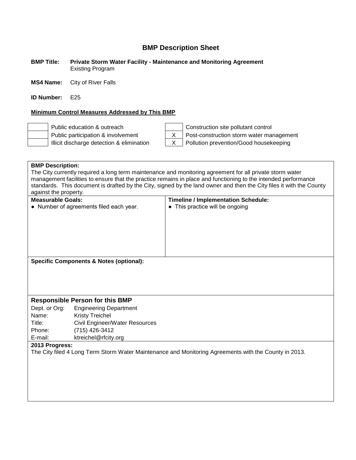#### **BMP Title: Private Storm Water Facility - Maintenance and Monitoring Agreement** Existing Program

**MS4 Name:** City of River Falls

**ID Number:** E25

#### **Minimum Control Measures Addressed by This BMP**



Public education & outreach Construction site pollutant control Public participation & involvement X Post-construction storm water management Illicit discharge detection & elimination  $\begin{vmatrix} x \\ y \end{vmatrix}$  Pollution prevention/Good housekeeping

| <b>BMP Description:</b><br>The City currently required a long term maintenance and monitoring agreement for all private storm water<br>management facilities to ensure that the practice remains in place and functioning to the intended performance<br>standards. This document is drafted by the City, signed by the land owner and then the City files it with the County |                                |                                                                               |
|-------------------------------------------------------------------------------------------------------------------------------------------------------------------------------------------------------------------------------------------------------------------------------------------------------------------------------------------------------------------------------|--------------------------------|-------------------------------------------------------------------------------|
| against the property.<br><b>Measurable Goals:</b>                                                                                                                                                                                                                                                                                                                             |                                |                                                                               |
| • Number of agreements filed each year.                                                                                                                                                                                                                                                                                                                                       |                                | <b>Timeline / Implementation Schedule:</b><br>• This practice will be ongoing |
|                                                                                                                                                                                                                                                                                                                                                                               |                                |                                                                               |
|                                                                                                                                                                                                                                                                                                                                                                               |                                |                                                                               |
|                                                                                                                                                                                                                                                                                                                                                                               |                                |                                                                               |
|                                                                                                                                                                                                                                                                                                                                                                               |                                |                                                                               |
|                                                                                                                                                                                                                                                                                                                                                                               |                                |                                                                               |
|                                                                                                                                                                                                                                                                                                                                                                               |                                |                                                                               |
|                                                                                                                                                                                                                                                                                                                                                                               |                                |                                                                               |
| <b>Specific Components &amp; Notes (optional):</b>                                                                                                                                                                                                                                                                                                                            |                                |                                                                               |
|                                                                                                                                                                                                                                                                                                                                                                               |                                |                                                                               |
|                                                                                                                                                                                                                                                                                                                                                                               |                                |                                                                               |
|                                                                                                                                                                                                                                                                                                                                                                               |                                |                                                                               |
|                                                                                                                                                                                                                                                                                                                                                                               |                                |                                                                               |
| <b>Responsible Person for this BMP</b>                                                                                                                                                                                                                                                                                                                                        |                                |                                                                               |
| Dept. or Org:                                                                                                                                                                                                                                                                                                                                                                 | <b>Engineering Department</b>  |                                                                               |
| Name:<br><b>Kristy Treichel</b>                                                                                                                                                                                                                                                                                                                                               |                                |                                                                               |
| Title:                                                                                                                                                                                                                                                                                                                                                                        | Civil Engineer/Water Resources |                                                                               |
| (715) 426-3412<br>Phone:                                                                                                                                                                                                                                                                                                                                                      |                                |                                                                               |
| E-mail:                                                                                                                                                                                                                                                                                                                                                                       | ktreichel@rfcity.org           |                                                                               |
| 2013 Progress:                                                                                                                                                                                                                                                                                                                                                                |                                |                                                                               |
| The City filed 4 Long Term Storm Water Maintenance and Monitoring Agreements with the County in 2013.                                                                                                                                                                                                                                                                         |                                |                                                                               |
|                                                                                                                                                                                                                                                                                                                                                                               |                                |                                                                               |
|                                                                                                                                                                                                                                                                                                                                                                               |                                |                                                                               |
|                                                                                                                                                                                                                                                                                                                                                                               |                                |                                                                               |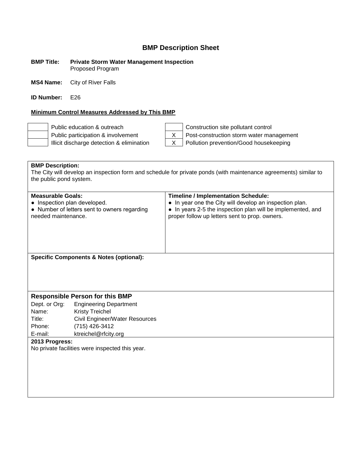#### **BMP Title: Private Storm Water Management Inspection** Proposed Program

**MS4 Name:** City of River Falls

**ID Number:** E26

#### **Minimum Control Measures Addressed by This BMP**

Illicit discharge detection & elimination  $\begin{vmatrix} X & \text{Polution} \end{vmatrix}$  Pollution prevention/Good housekeeping

Public education & outreach Construction site pollutant control Public participation & involvement  $\begin{vmatrix} X \\ \end{vmatrix}$  Post-construction storm water management

**BMP Description:** The City will develop an inspection form and schedule for private ponds (with maintenance agreements) similar to the public pond system.

| <b>Measurable Goals:</b>                     | <b>Timeline / Implementation Schedule:</b>                  |
|----------------------------------------------|-------------------------------------------------------------|
| • Inspection plan developed.                 | • In year one the City will develop an inspection plan.     |
| • Number of letters sent to owners regarding | • In years 2-5 the inspection plan will be implemented, and |
| needed maintenance.                          | proper follow up letters sent to prop. owners.              |
| Specific Components & Notes (optional):      |                                                             |

## **Responsible Person for this BMP**

Dept. or Org: Engineering Department Name: Kristy Treichel Title: Civil Engineer/Water Resources Phone: (715) 426-3412<br>E-mail: ktreichel@rfcitv. ktreichel@rfcity.org

**2013 Progress:**

No private facilities were inspected this year.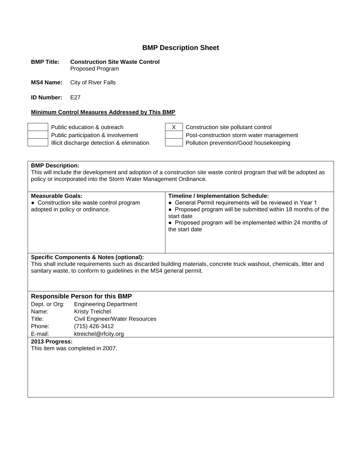#### **BMP Title: Construction Site Waste Control** Proposed Program

**MS4 Name:** City of River Falls

**ID Number:** E27

#### **Minimum Control Measures Addressed by This BMP**

Public education & outreach  $\begin{vmatrix} x \\ y \end{vmatrix}$  X  $\begin{vmatrix} 1 \\ 2 \end{vmatrix}$  Construction site pollutant control Public participation & involvement  $\vert$  Post-construction storm water management Illicit discharge detection & elimination  $\vert$  | Pollution prevention/Good housekeeping

**BMP Description:** This will include the development and adoption of a construction site waste control program that will be adopted as policy or incorporated into the Storm Water Management Ordinance.

| <b>Timeline / Implementation Schedule:</b><br><b>Measurable Goals:</b><br>• General Permit requirements will be reviewed in Year 1<br>• Construction site waste control program<br>• Proposed program will be submitted within 18 months of the<br>adopted in policy or ordinance.<br>start date<br>• Proposed program will be implemented within 24 months of<br>the start date |  |
|----------------------------------------------------------------------------------------------------------------------------------------------------------------------------------------------------------------------------------------------------------------------------------------------------------------------------------------------------------------------------------|--|
|                                                                                                                                                                                                                                                                                                                                                                                  |  |

#### **Specific Components & Notes (optional):**

This shall include requirements such as discarded building materials, concrete truck washout, chemicals, litter and sanitary waste, to conform to guidelines in the MS4 general permit.

#### **Responsible Person for this BMP**

Dept. or Org: Engineering Department Name: Kristy Treichel Title: Civil Engineer/Water Resources Phone: (715) 426-3412 E-mail: ktreichel@rfcity.org

#### **2013 Progress:**

This item was completed in 2007.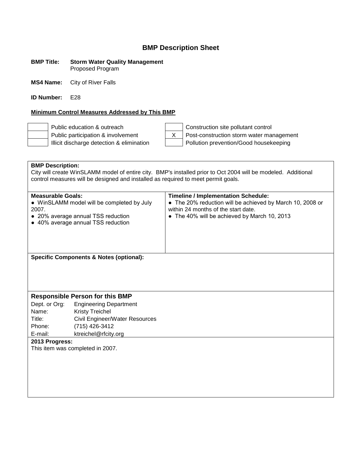#### **BMP Title: Storm Water Quality Management** Proposed Program

**MS4 Name:** City of River Falls

**ID Number:** E28

#### **Minimum Control Measures Addressed by This BMP**

Public education & outreach Construction site pollutant control

Public participation & involvement X Post-construction storm water management Illicit discharge detection & elimination  $\vert$  | Pollution prevention/Good housekeeping

**BMP Description:** City will create WinSLAMM model of entire city. BMP's installed prior to Oct 2004 will be modeled. Additional control measures will be designed and installed as required to meet permit goals. **Measurable Goals: Timeline / Implementation Schedule:** • WinSLAMM model will be completed by July 2007. ● 20% average annual TSS reduction ● 40% average annual TSS reduction • The 20% reduction will be achieved by March 10, 2008 or within 24 months of the start date. • The 40% will be achieved by March 10, 2013 **Specific Components & Notes (optional): Responsible Person for this BMP** Dept. or Org: Engineering Department Name: Kristy Treichel Title: Civil Engineer/Water Resources Phone: (715) 426-3412 E-mail: ktreichel@rfcity.org **2013 Progress:** This item was completed in 2007.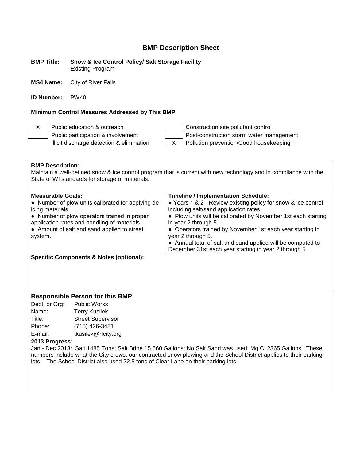**BMP Title: Snow & Ice Control Policy/ Salt Storage Facility** Existing Program

**MS4 Name:** City of River Falls

**ID Number:** PW40

#### **Minimum Control Measures Addressed by This BMP**

X Public education & outreach  $\vert$  | Construction site pollutant control Public participation & involvement  $\vert$  Post-construction storm water management Illicit discharge detection & elimination  $\begin{vmatrix} X & \text{Polution} \end{vmatrix}$  Pollution prevention/Good housekeeping

| <b>BMP Description:</b><br>Maintain a well-defined snow & ice control program that is current with new technology and in compliance with the<br>State of WI standards for storage of materials. |                                                                                                             |
|-------------------------------------------------------------------------------------------------------------------------------------------------------------------------------------------------|-------------------------------------------------------------------------------------------------------------|
| <b>Measurable Goals:</b><br>• Number of plow units calibrated for applying de-                                                                                                                  | <b>Timeline / Implementation Schedule:</b><br>• Years 1 & 2 - Review existing policy for snow & ice control |
| icing materials.                                                                                                                                                                                | including salt/sand application rates.                                                                      |
| • Number of plow operators trained in proper<br>application rates and handling of materials                                                                                                     | • Plow units will be calibrated by November 1st each starting<br>in year 2 through 5.                       |
| • Amount of salt and sand applied to street<br>system.                                                                                                                                          | • Operators trained by November 1st each year starting in<br>year 2 through 5.                              |
|                                                                                                                                                                                                 | • Annual total of salt and sand applied will be computed to                                                 |
|                                                                                                                                                                                                 | December 31st each year starting in year 2 through 5.                                                       |
| Specific Components & Notes (optional):                                                                                                                                                         |                                                                                                             |

#### **Responsible Person for this BMP**

Dept. or Org: Public Works Name: Terry Kusilek Title: Street Supervisor Phone: (715) 426-3481<br>E-mail: tkusilek@rfcity. tkusilek@rfcity.org

#### **2013 Progress:**

Jan - Dec 2013: Salt 1485 Tons; Salt Brine 15,660 Gallons; No Salt Sand was used; Mg Cl 2365 Gallons. These numbers include what the City crews, our contracted snow plowing and the School District applies to their parking lots. The School District also used 22.5 tons of Clear Lane on their parking lots.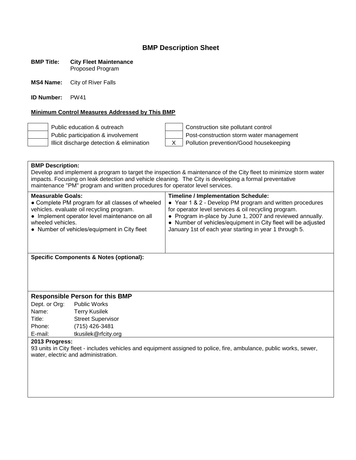#### **BMP Title: City Fleet Maintenance** Proposed Program

**MS4 Name:** City of River Falls

**ID Number:** PW41

#### **Minimum Control Measures Addressed by This BMP**

Public education & outreach Construction site pollutant control Public participation & involvement  $\vert$  Post-construction storm water management Illicit discharge detection & elimination  $\begin{vmatrix} X & \end{vmatrix}$  Pollution prevention/Good housekeeping

## **BMP Description:**

Develop and implement a program to target the inspection & maintenance of the City fleet to minimize storm water impacts. Focusing on leak detection and vehicle cleaning. The City is developing a formal preventative maintenance "PM" program and written procedures for operator level services.

| <b>Measurable Goals:</b>                         | <b>Timeline / Implementation Schedule:</b>                    |
|--------------------------------------------------|---------------------------------------------------------------|
| • Complete PM program for all classes of wheeled | • Year 1 & 2 - Develop PM program and written procedures      |
| vehicles. evaluate oil recycling program.        | for operator level services & oil recycling program.          |
| • Implement operator level maintenance on all    | • Program in-place by June 1, 2007 and reviewed annually.     |
| wheeled vehicles.                                | • Number of vehicles/equipment in City fleet will be adjusted |
| • Number of vehicles/equipment in City fleet     | January 1st of each year starting in year 1 through 5.        |
|                                                  |                                                               |
|                                                  |                                                               |

**Specific Components & Notes (optional):**

#### **Responsible Person for this BMP**

Dept. or Org: Public Works Name: Terry Kusilek Title: Street Supervisor Phone: (715) 426-3481 E-mail: tkusilek@rfcity.org

#### **2013 Progress:**

93 units in City fleet - includes vehicles and equipment assigned to police, fire, ambulance, public works, sewer, water, electric and administration.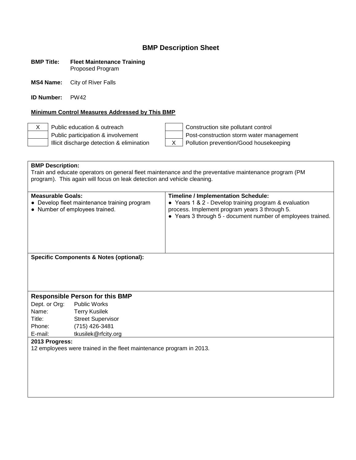#### **BMP Title: Fleet Maintenance Training** Proposed Program

**MS4 Name:** City of River Falls

**ID Number:** PW42

#### **Minimum Control Measures Addressed by This BMP**

Illicit discharge detection & elimination  $\begin{vmatrix} X & \end{vmatrix}$  Pollution prevention/Good housekeeping

X Public education & outreach Construction site pollutant control Public participation & involvement  $\vert$  Post-construction storm water management

**BMP Description:** Train and educate operators on general fleet maintenance and the preventative maintenance program (PM program). This again will focus on leak detection and vehicle cleaning. **Measurable Goals: Timeline / Implementation Schedule:** ● Develop fleet maintenance training program ● Number of employees trained. ● Years 1 & 2 - Develop training program & evaluation process. Implement program years 3 through 5. ● Years 3 through 5 - document number of employees trained. **Specific Components & Notes (optional): Responsible Person for this BMP** Dept. or Org: Public Works Name: Terry Kusilek Title: Street Supervisor Phone: (715) 426-3481 E-mail: tkusilek@rfcity.org **2013 Progress:** 12 employees were trained in the fleet maintenance program in 2013.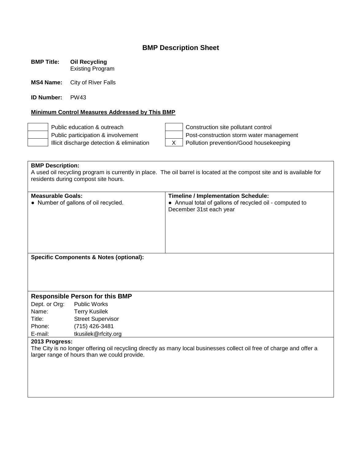**BMP Title: Oil Recycling** Existing Program

**MS4 Name:** City of River Falls

**ID Number:** PW43

#### **Minimum Control Measures Addressed by This BMP**

Public education & outreach Construction site pollutant control Public participation & involvement  $\parallel$  | Post-construction storm water management Illicit discharge detection & elimination  $\begin{vmatrix} x \\ y \end{vmatrix}$  Pollution prevention/Good housekeeping

**BMP Description:** A used oil recycling program is currently in place. The oil barrel is located at the compost site and is available for residents during compost site hours.

| <b>Measurable Goals:</b> |                                                    | <b>Timeline / Implementation Schedule:</b>                                                                            |
|--------------------------|----------------------------------------------------|-----------------------------------------------------------------------------------------------------------------------|
|                          | • Number of gallons of oil recycled.               | • Annual total of gallons of recycled oil - computed to                                                               |
|                          |                                                    | December 31st each year                                                                                               |
|                          |                                                    |                                                                                                                       |
|                          |                                                    |                                                                                                                       |
|                          |                                                    |                                                                                                                       |
|                          |                                                    |                                                                                                                       |
|                          |                                                    |                                                                                                                       |
|                          |                                                    |                                                                                                                       |
|                          | <b>Specific Components &amp; Notes (optional):</b> |                                                                                                                       |
|                          |                                                    |                                                                                                                       |
|                          |                                                    |                                                                                                                       |
|                          |                                                    |                                                                                                                       |
|                          |                                                    |                                                                                                                       |
|                          | <b>Responsible Person for this BMP</b>             |                                                                                                                       |
|                          | Dept. or Org: Public Works                         |                                                                                                                       |
| Name:                    | Terry Kusilek                                      |                                                                                                                       |
| Title:                   | <b>Street Supervisor</b>                           |                                                                                                                       |
| Phone:                   | (715) 426-3481                                     |                                                                                                                       |
| E-mail:                  | tkusilek@rfcity.org                                |                                                                                                                       |
| 2013 Progress:           |                                                    |                                                                                                                       |
|                          |                                                    | The City is no longer offering oil recycling directly as many local businesses collect oil free of charge and offer a |
|                          | larger range of hours than we could provide.       |                                                                                                                       |
|                          |                                                    |                                                                                                                       |
|                          |                                                    |                                                                                                                       |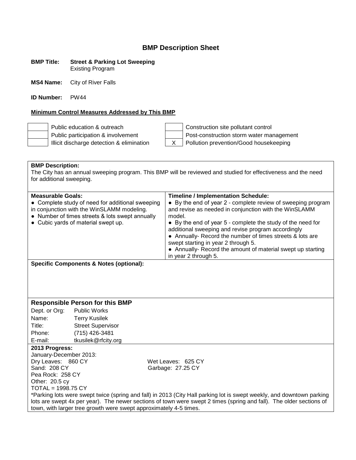#### **BMP Title: Street & Parking Lot Sweeping** Existing Program

**MS4 Name:** City of River Falls

**ID Number:** PW44

#### **Minimum Control Measures Addressed by This BMP**

Public education & outreach Public participation & involvement Illicit discharge detection & elimination

| Construction site pollutant control        |  |
|--------------------------------------------|--|
| Post-construction storm water management   |  |
| X   Pollution prevention/Good housekeeping |  |
|                                            |  |

| <b>BMP Description:</b>                                                                                               |                                                 |                                                                                                                   |  |  |  |
|-----------------------------------------------------------------------------------------------------------------------|-------------------------------------------------|-------------------------------------------------------------------------------------------------------------------|--|--|--|
| The City has an annual sweeping program. This BMP will be reviewed and studied for effectiveness and the need         |                                                 |                                                                                                                   |  |  |  |
| for additional sweeping.                                                                                              |                                                 |                                                                                                                   |  |  |  |
|                                                                                                                       |                                                 |                                                                                                                   |  |  |  |
| <b>Measurable Goals:</b>                                                                                              |                                                 | <b>Timeline / Implementation Schedule:</b>                                                                        |  |  |  |
| • Complete study of need for additional sweeping                                                                      |                                                 | • By the end of year 2 - complete review of sweeping program                                                      |  |  |  |
|                                                                                                                       | in conjunction with the WinSLAMM modeling.      | and revise as needed in conjunction with the WinSLAMM                                                             |  |  |  |
|                                                                                                                       | • Number of times streets & lots swept annually | model.                                                                                                            |  |  |  |
|                                                                                                                       | • Cubic yards of material swept up.             | • By the end of year 5 - complete the study of the need for<br>additional sweeping and revise program accordingly |  |  |  |
|                                                                                                                       |                                                 | • Annually- Record the number of times streets & lots are                                                         |  |  |  |
|                                                                                                                       |                                                 | swept starting in year 2 through 5.                                                                               |  |  |  |
|                                                                                                                       |                                                 | • Annually- Record the amount of material swept up starting                                                       |  |  |  |
|                                                                                                                       |                                                 | in year 2 through 5.                                                                                              |  |  |  |
| <b>Specific Components &amp; Notes (optional):</b>                                                                    |                                                 |                                                                                                                   |  |  |  |
|                                                                                                                       |                                                 |                                                                                                                   |  |  |  |
|                                                                                                                       |                                                 |                                                                                                                   |  |  |  |
|                                                                                                                       |                                                 |                                                                                                                   |  |  |  |
|                                                                                                                       |                                                 |                                                                                                                   |  |  |  |
|                                                                                                                       | <b>Responsible Person for this BMP</b>          |                                                                                                                   |  |  |  |
| Dept. or Org:                                                                                                         | <b>Public Works</b>                             |                                                                                                                   |  |  |  |
| Name:                                                                                                                 | <b>Terry Kusilek</b>                            |                                                                                                                   |  |  |  |
| Title:                                                                                                                | <b>Street Supervisor</b>                        |                                                                                                                   |  |  |  |
| Phone:                                                                                                                | (715) 426-3481                                  |                                                                                                                   |  |  |  |
| E-mail:                                                                                                               | tkusilek@rfcity.org                             |                                                                                                                   |  |  |  |
| 2013 Progress:                                                                                                        |                                                 |                                                                                                                   |  |  |  |
| January-December 2013:                                                                                                |                                                 |                                                                                                                   |  |  |  |
| Dry Leaves: 860 CY                                                                                                    |                                                 | Wet Leaves: 625 CY                                                                                                |  |  |  |
|                                                                                                                       |                                                 |                                                                                                                   |  |  |  |
| Pea Rock: 258 CY                                                                                                      |                                                 |                                                                                                                   |  |  |  |
|                                                                                                                       |                                                 |                                                                                                                   |  |  |  |
|                                                                                                                       |                                                 |                                                                                                                   |  |  |  |
| Sand: 208 CY<br>Other: 20.5 cy<br>TOTAL = 1998.75 CY                                                                  |                                                 | Garbage: 27.25 CY                                                                                                 |  |  |  |
| *Parking lots were swept twice (spring and fall) in 2013 (City Hall parking lot is swept weekly, and downtown parking |                                                 |                                                                                                                   |  |  |  |

lots are swept 4x per year). The newer sections of town were swept 2 times (spring and fall). The older sections of town, with larger tree growth were swept approximately 4-5 times.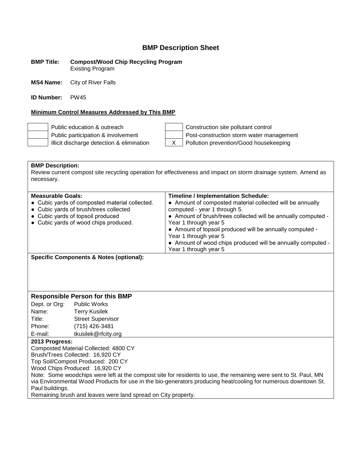**BMP Title: Compost/Wood Chip Recycling Program** Existing Program

**MS4 Name:** City of River Falls

**ID Number:** PW45

#### **Minimum Control Measures Addressed by This BMP**

Public education & outreach Construction site pollutant control Public participation & involvement  $\vert$  Post-construction storm water management Illicit discharge detection & elimination  $\begin{vmatrix} X & \end{vmatrix}$  Pollution prevention/Good housekeeping

**BMP Description:** Review current compost site recycling operation for effectiveness and impact on storm drainage system. Amend as necessary.

| <b>Measurable Goals:</b><br>• Cubic yards of composted material collected.<br>• Cubic yards of brush/trees collected<br>• Cubic yards of topsoil produced<br>• Cubic yards of wood chips produced. | <b>Timeline / Implementation Schedule:</b><br>• Amount of composted material collected will be annually<br>computed - year 1 through 5.<br>• Amount of brush/trees collected will be annually computed -<br>Year 1 through year 5<br>• Amount of topsoil produced will be annually computed -<br>Year 1 through year 5<br>• Amount of wood chips produced will be annually computed -<br>Year 1 through year 5 |
|----------------------------------------------------------------------------------------------------------------------------------------------------------------------------------------------------|----------------------------------------------------------------------------------------------------------------------------------------------------------------------------------------------------------------------------------------------------------------------------------------------------------------------------------------------------------------------------------------------------------------|
|                                                                                                                                                                                                    |                                                                                                                                                                                                                                                                                                                                                                                                                |

**Specific Components & Notes (optional):**

#### **Responsible Person for this BMP**

Dept. or Org: Public Works Name: Terry Kusilek Title: Street Supervisor Phone: (715) 426-3481 E-mail: tkusilek@rfcity.org

#### **2013 Progress:**

Composted Material Collected: 4800 CY

Brush/Trees Collected: 16,920 CY Top Soil/Compost Produced: 200 CY

Wood Chips Produced: 16,920 CY

Note: Some woodchips were left at the compost site for residents to use, the remaining were sent to St. Paul, MN via Environmental Wood Products for use in the bio-generators producing heat/cooling for numerous downtown St. Paul buildings.

Remaining brush and leaves were land spread on City property.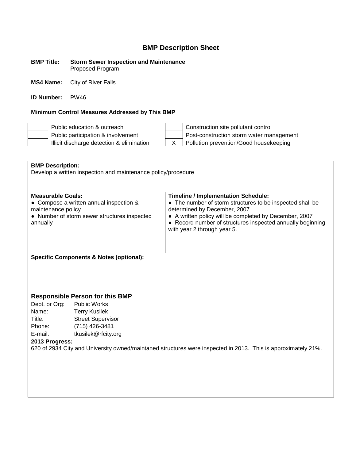#### **BMP Title: Storm Sewer Inspection and Maintenance** Proposed Program

**MS4 Name:** City of River Falls

**ID Number:** PW46

#### **Minimum Control Measures Addressed by This BMP**

Public education & outreach Construction site pollutant control Public participation & involvement Post-construction storm water management Illicit discharge detection & elimination  $\begin{vmatrix} x \\ y \end{vmatrix}$  Pollution prevention/Good housekeeping

| <b>BMP Description:</b>                                                                                       |                                                                                         |                                                                                                                                                                                                                                                                                                |  |  |  |
|---------------------------------------------------------------------------------------------------------------|-----------------------------------------------------------------------------------------|------------------------------------------------------------------------------------------------------------------------------------------------------------------------------------------------------------------------------------------------------------------------------------------------|--|--|--|
| Develop a written inspection and maintenance policy/procedure                                                 |                                                                                         |                                                                                                                                                                                                                                                                                                |  |  |  |
|                                                                                                               |                                                                                         |                                                                                                                                                                                                                                                                                                |  |  |  |
| <b>Measurable Goals:</b><br>maintenance policy<br>annually                                                    | • Compose a written annual inspection &<br>• Number of storm sewer structures inspected | <b>Timeline / Implementation Schedule:</b><br>• The number of storm structures to be inspected shall be<br>determined by December, 2007<br>• A written policy will be completed by December, 2007<br>• Record number of structures inspected annually beginning<br>with year 2 through year 5. |  |  |  |
| <b>Specific Components &amp; Notes (optional):</b>                                                            |                                                                                         |                                                                                                                                                                                                                                                                                                |  |  |  |
|                                                                                                               |                                                                                         |                                                                                                                                                                                                                                                                                                |  |  |  |
|                                                                                                               |                                                                                         |                                                                                                                                                                                                                                                                                                |  |  |  |
|                                                                                                               |                                                                                         |                                                                                                                                                                                                                                                                                                |  |  |  |
|                                                                                                               |                                                                                         |                                                                                                                                                                                                                                                                                                |  |  |  |
| <b>Responsible Person for this BMP</b>                                                                        |                                                                                         |                                                                                                                                                                                                                                                                                                |  |  |  |
| Dept. or Org:                                                                                                 | <b>Public Works</b>                                                                     |                                                                                                                                                                                                                                                                                                |  |  |  |
| Name:                                                                                                         | <b>Terry Kusilek</b>                                                                    |                                                                                                                                                                                                                                                                                                |  |  |  |
| Title:                                                                                                        | <b>Street Supervisor</b>                                                                |                                                                                                                                                                                                                                                                                                |  |  |  |
| Phone:                                                                                                        | (715) 426-3481                                                                          |                                                                                                                                                                                                                                                                                                |  |  |  |
| E-mail:                                                                                                       | tkusilek@rfcity.org                                                                     |                                                                                                                                                                                                                                                                                                |  |  |  |
| 2013 Progress:                                                                                                |                                                                                         |                                                                                                                                                                                                                                                                                                |  |  |  |
| 620 of 2934 City and University owned/maintaned structures were inspected in 2013. This is approximately 21%. |                                                                                         |                                                                                                                                                                                                                                                                                                |  |  |  |
|                                                                                                               |                                                                                         |                                                                                                                                                                                                                                                                                                |  |  |  |
|                                                                                                               |                                                                                         |                                                                                                                                                                                                                                                                                                |  |  |  |
|                                                                                                               |                                                                                         |                                                                                                                                                                                                                                                                                                |  |  |  |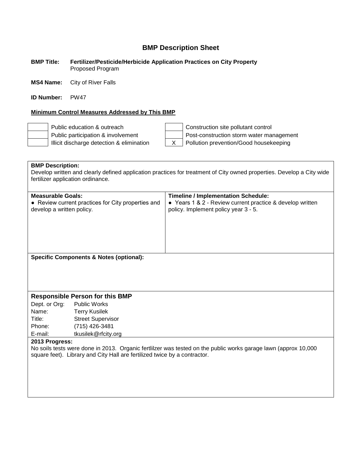#### **BMP Title: Fertilizer/Pesticide/Herbicide Application Practices on City Property** Proposed Program

**MS4 Name:** City of River Falls

**ID Number:** PW47

#### **Minimum Control Measures Addressed by This BMP**

Public education & outreach Construction site pollutant control Public participation & involvement  $\vert$  Post-construction storm water management Illicit discharge detection & elimination  $\begin{vmatrix} X & \end{vmatrix}$  Pollution prevention/Good housekeeping

**BMP Description:** Develop written and clearly defined application practices for treatment of City owned properties. Develop a City wide fertilizer application ordinance. **Measurable Goals: Timeline / Implementation Schedule:** • Review current practices for City properties and develop a written policy. ● Years 1 & 2 - Review current practice & develop written policy. Implement policy year 3 - 5. **Specific Components & Notes (optional): Responsible Person for this BMP** Dept. or Org: Public Works Name: Terry Kusilek Title: Street Supervisor Phone: (715) 426-3481 E-mail: tkusilek@rfcity.org **2013 Progress:** No soils tests were done in 2013. Organic fertlilzer was tested on the public works garage lawn (approx 10,000 square feet). Library and City Hall are fertilized twice by a contractor.